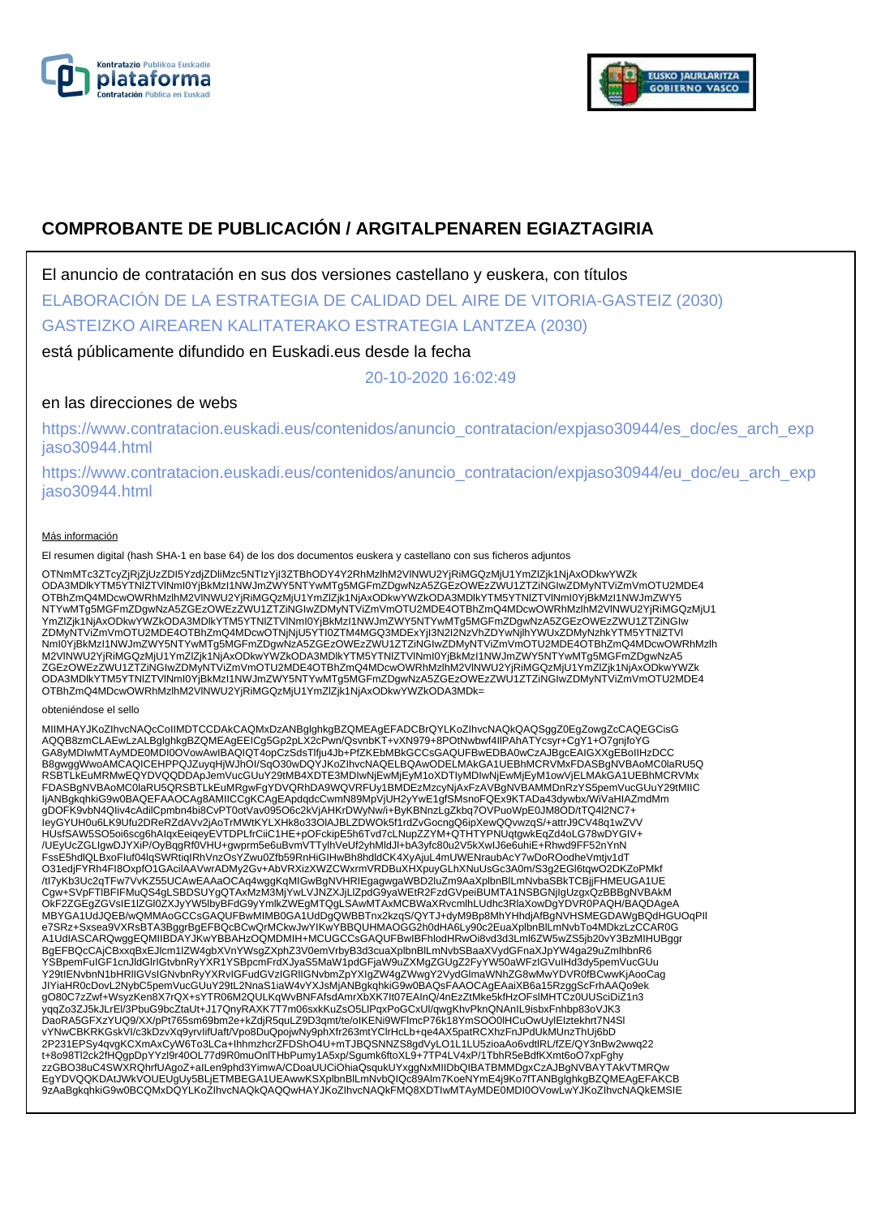



# **COMPROBANTE DE PUBLICACIÓN / ARGITALPENAREN EGIAZTAGIRIA**

El anuncio de contratación en sus dos versiones castellano y euskera, con títulos

# ELABORACIÓN DE LA ESTRATEGIA DE CALIDAD DEL AIRE DE VITORIA-GASTEIZ (2030)

GASTEIZKO AIREAREN KALITATERAKO ESTRATEGIA LANTZEA (2030)

# está públicamente difundido en Euskadi.eus desde la fecha

20-10-2020 16:02:49

# en las direcciones de webs

https://www.contratacion.euskadi.eus/contenidos/anuncio\_contratacion/expjaso30944/es\_doc/es\_arch\_exp jaso30944.html

https://www.contratacion.euskadi.eus/contenidos/anuncio\_contratacion/expjaso30944/eu\_doc/eu\_arch\_exp jaso30944.html

## Más información

El resumen digital (hash SHA-1 en base 64) de los dos documentos euskera y castellano con sus ficheros adjuntos

OTNmMTc3ZTcyZjRjZjUzZDI5YzdjZDliMzc5NTIzYjI3ZTBhODY4Y2RhMzlhM2VlNWU2YjRiMGQzMjU1YmZlZjk1NjAxODkwYWZk ODA3MDlkYTM5YTNlZTVlNmI0YjBkMzI1NWJmZWY5NTYwMTg5MGFmZDgwNzA5ZGEzOWEzZWU1ZTZiNGIwZDMyNTViZmVmOTU2MDE4 OTBhZmQ4MDcwOWRhMzlhM2VlNWU2YjRiMGQzMjU1YmZlZjk1NjAxODkwYWZkODA3MDlkYTM5YTNlZTVlNml0YjBkMzI1NWJmZWY5<br>NTYwMTg5MGFmZDgwNzA5ZGEzOWEzZWU1ZTZiNGIwZDMyNTViZmVmOTU2MDE4OTBhZmQ4MDcwOWRhMzlhM2VlNWU2YjRiMGQzMjU1 YmZlZjk1NjAxODkwYWZkODA3MDlkYTM5YTNlZTVlNmI0YjBkMzI1NWJmZWY5NTYwMTg5MGFmZDgwNzA5ZGEzOWEzZWU1ZTZiNGIw ZDMyNTViZmVmOTU2MDE4OTBhZmQ4MDcwOTNjNjU5YTI0ZTM4MGQ3MDExYjI3N2I2NzVhZDYwNjlhYWUxZDMyNzhkYTM5YTNlZTVl NmI0YjBkMzI1NWJmZWY5NTYwMTg5MGFmZDgwNzA5ZGEzOWEzZWU1ZTZiNGIwZDMyNTViZmVmOTU2MDE4OTBhZmQ4MDcwOWRhMzlh M2VlNWU2YjRiMGQzMjU1YmZlZjk1NjAxODkwYWZkODA3MDlkYTM5YTNlZTVlNmI0YjBkMzI1NWJmZWY5NTYwMTg5MGFmZDgwNzA5 ZGEzOWEzZWU1ZTZiNGIwZDMyNTViZmVmOTU2MDE4OTBhZmQ4MDcwOWRhMzlhM2VINWU2YjRiMGQzMjU1YmZlZjk1NjAxODkwYWZk<br>ODA3MDlkYTM5YTNIZTVINmI0YjBkMzI1NWJmZWY5NTYwMTg5MGFmZDgwNzA5ZGEzOWEzZWU1ZTZiNGIwZDMyNTViZmVmOTU2MDE4 OTBhZmQ4MDcwOWRhMzlhM2VlNWU2YjRiMGQzMjU1YmZlZjk1NjAxODkwYWZkODA3MDk=

#### obteniéndose el sello

MIIMHAYJKoZIhvcNAQcCoIIMDTCCDAkCAQMxDzANBglghkgBZQMEAgEFADCBrQYLKoZIhvcNAQkQAQSggZ0EgZowgZcCAQEGCisG AQQB8zmCLAEwLzALBglghkgBZQMEAgEEICg5Gp2pLX2cPwn/QsvnbKT+vXN979+8POtNwbwf4IIPAhATYcsyr+CgY1+O7gnjfoYG<br>GA8yMDIwMTAyMDE0MDI0OVowAwIBAQIQT4opCzSdsTlfju4Jb+PfZKEbMBkGCCsGAQUFBwEDBA0wCzAJBgcEAIGXXgEBoIIHzDCC B8gwggWwoAMCAQICEHPPQJZuyqHjWJhOI/SqO30wDQYJKoZIhvcNAQELBQAwODELMAkGA1UEBhMCRVMxFDASBgNVBAoMC0laRU5Q RSBTLkEuMRMwEQYDVQQDDApJemVucGUuY29tMB4XDTE3MDIwNjEwMjEyM1oXDTIyMDIwNjEwMjEyM1owVjELMAkGA1UEBhMCRVMx FDASBgNVBAoMC0laRU5QRSBTLkEuMRgwFgYDVQRhDA9WQVRFUy1BMDEzMzcyNjAxFzAVBgNVBAMMDnRzYS5pemVucGUuY29tMIIC IjANBgkqhkiG9w0BAQEFAAOCAg8AMIICCgKCAgEApdqdcCwmN89MpVjUH2yYwE1gfSMsnoFQEx9KTADa43dywbx/WiVaHIAZmdMm gDOFK9vbN4QIiv4cAdilCpmbn4bi8CvPT0otVav095O6c2kVjAHKrDWyNw/i+ByKBNnzLgZkbq7OVPuoWpE0JM8OD/tTQ4l2NC7+ IeyGYUH0u6LK9Ufu2DReRZdAVv2jAoTrMWtKYLXHk8o33OlAJBLZDWOk5f1rdZvGocngQ6ipXewQQvwzqS/+attrJ9CV48q1wZVV HUsfSAW5SO5oi6scg6hAIqxEeiqeyEVTDPLfrCiiC1HE+pOFckipE5h6Tvd7cLNupZZYM+QTHTYPNUqtgwkEqZd4oLG78wDYGIV+ /UEyUcZGLIgwDJYXiP/OyBqgRf0VHU+gwprm5e6uBvmVTTylhVeUf2yhMldJl+bA3yfc80u2V5kXwIJ6e6uhiE+Rhwd9FF52nYnN<br>FssE5hdlQLBxoFluf04lqSWRtiqIRhVnzOsYZwu0Zfb59RnHiGIHwBh8hdldCK4XyAjuL4mUWENraubAcY7wDoROodheVmtjv1dT O31edjFYRh4FI8OxpfO1GAcilAAVwrADMy2Gv+AbVRXizXWZCWxrmVRDBuXHXpuyGLhXNuUsGc3A0m/S3g2EGl6tqwO2DKZoPMkf /tI7yKb3Uc2qTFw7VvKZ55UCAwEAAaOCAq4wggKqMIGwBgNVHRIEgagwgaWBD2luZm9AaXplbnBlLmNvbaSBkTCBjjFHMEUGA1UE Cgw+SVpFTlBFIFMuQS4gLSBDSUYgQTAxMzM3MjYwLVJNZXJjLlZpdG9yaWEtR2FzdGVpeiBUMTA1NSBGNjIgUzgxQzBBBgNVBAkM OkF2ZGEgZGVsIE1lZGl0ZXJyYW5lbyBFdG9yYmlkZWEgMTQgLSAwMTAxMCBWaXRvcmlhLUdhc3RlaXowDgYDVR0PAQH/BAQDAgeA MBYGA1UdJQEB/wQMMAoGCCsGAQUFBwMIMB0GA1UdDgQWBBTnx2kzqS/QYTJ+dyM9Bp8MhYHhdjAfBgNVHSMEGDAWgBQdHGUOqPII<br>e7SRz+Sxsea9VXRsBTA3BggrBgEFBQcBCwQrMCkwJwYIKwYBBQUHMAOGG2h0dHA6Ly90c2EuaXplbnBlLmNvbTo4MDkzLzCCAR0G A1UdIASCARQwggEQMIIBDAYJKwYBBAHzOQMDMIH+MCUGCCsGAQUFBwIBFhlodHRwOi8vd3d3Lml6ZW5wZS5jb20vY3BzMIHUBggr BgEFBQcCAjCBxxqBxEJlcm1lZW4gbXVnYWsgZXphZ3V0emVrbyB3d3cuaXplbnBlLmNvbSBaaXVydGFnaXJpYW4ga29uZmlhbnR6 YSBpemFuIGF1cnJldGlrIGtvbnRyYXR1YSBpcmFrdXJyaS5MaW1pdGFjaW9uZXMgZGUgZ2FyYW50aWFzIGVuIHd3dy5pemVucGUu<br>Y29tIENvbnN1bHRIIGVsIGNvbnRyYXRvIGFudGVzIGRIIGNvbmZpYXIgZW4gZWwgY2VydGlmaWNhZG8wMwYDVR0fBCwwKjAooCag JIYiaHR0cDovL2NybC5pemVucGUuY29tL2NnaS1iaW4vYXJsMjANBgkqhkiG9w0BAQsFAAOCAgEAaiXB6a15RzggScFrhAAQo9ek gO80C7zZwf+WsyzKen8X7rQX+sYTR06M2QULKqWvBNFAfsdAmrXbXK7It07EAInQ/4nEzZtMke5kfHzOFslMHTCz0UUSciDiZ1n3 yqqZo3ZJ5kJLrEl/3PbuG9bcZtaUt+J17QnyRAXK7T7m06sxkKuZsO5LlPqxPoGCxUl/qwgKhvPknQNAnIL9isbxFnhbp83oVJK3<br>DaoRA5GFXzYUQ9/XX/pPt765sm69bm2e+kZdjR5quLZ9D3qmt/te/oIKENi9WFlmcP76k18YmSOO0lHCuOwUylEIztekhrt7N4Sl vYNwCBKRKGskVI/c3kDzvXq9yrvIifUaft/Vpo8DuQpojwNy9phXfr263mtYClrHcLb+qe4AX5patRCXhzFnJPdUkMUnzThUj6bD 2P231EPSy4qvgKCXmAxCyW6To3LCa+IhhmzhcrZFDShO4U+mTJBQSNNZS8gdVyLO1L1LU5zioaAo6vdtlRL/fZE/QY3nBw2wwq22 t+8o98Tl2ck2fHQgpDpYYzl9r40OL77d9R0muOnlTHbPumy1A5xp/Sgumk6ftoXL9+7TP4LV4xP/1TbhR5eBdfKXmt6oO7xpFghy zzGBO38uC4SWXRQhrfUAgoZ+aILen9phd3YimwA/CDoaUUCiOhiaQsqukUYxggNxMIIDbQIBATBMMDgxCzAJBgNVBAYTAkVTMRQw EgYDVQQKDAtJWkVOUEUgUy5BLjETMBEGA1UEAwwKSXplbnBlLmNvbQIQc89Alm7KoeNYmE4j9Ko7fTANBglghkgBZQMEAgEFAKCB 9zAaBgkqhkiG9w0BCQMxDQYLKoZIhvcNAQkQAQQwHAYJKoZIhvcNAQkFMQ8XDTIwMTAyMDE0MDI0OVowLwYJKoZIhvcNAQkEMSIE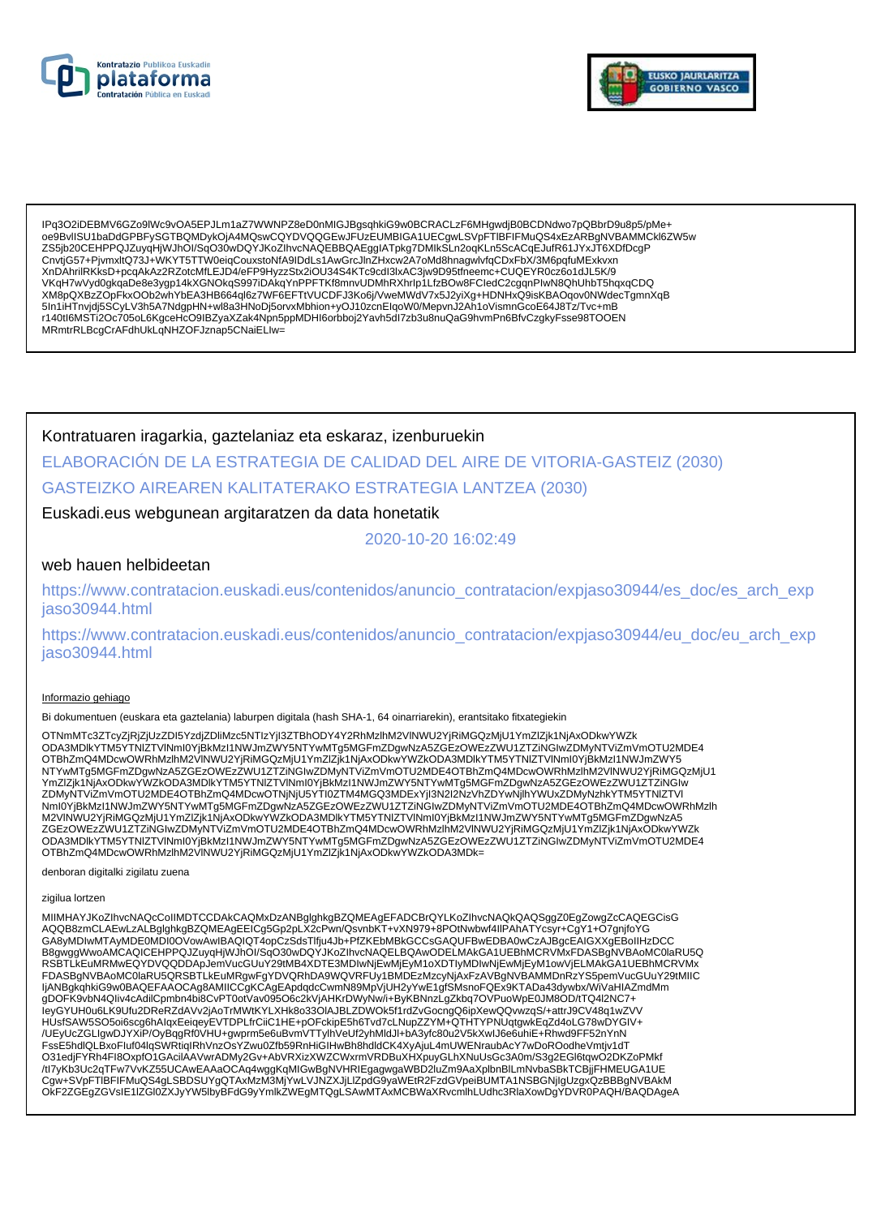



IPq3O2iDEBMV6GZo9IWc9vOA5EPJLm1aZ7WWNPZ8eD0nMIGJBgsqhkiG9w0BCRACLzF6MHgwdjB0BCDNdwo7pQBbrD9u8p5/pMe+<br>oe9BvlISU1baDdGPBFySGTBQMDykOjA4MQswCQYDVQQGEwJFUzEUMBIGA1UECgwLSVpFTIBFIFMuQS4xEzARBgNVBAMMCkl6ZW5w essuntornastan bir yoo reams ayan adama ayan dari bir ayan bir yang bir yoo reassuntorna ayan dari bir yang te<br>255jb20CEHPPQJZuyqHjWJhOI/SqO30wDQYJKoZIhvcNAQEBBQAEgglATpkg7DMIkSLn2oqKLn5ScACqEJufR61JYxJT6XDfDcgP<br>275jb20CEH XnDAhrilRKKsD+pcqAkAz2RZotcMfLEJD4/eFP9HyzzStx2iOU34S4KTc9cdl3lxAC3jw9D95tfneemc+CUQEYR0cz6o1dJL5K/9 VKqH7wVyd0gkqaDe8e3ygp14kXGNOkqS997iDAkqYnPPFTKf8mnvUDMhRXhrlp1LfzBOw8FCledC2cgqnPlwN8QhUhbT5hqxqCDQ XM8pQXBzZOpFkxOOb2whYbEA3HB664ql6z7WF6EFTtVUCDFJ3Ko6j/VweMWdV7x5J2yiXg+HDNHxQ9isKBAOqov0NWdecTgmnXqB 5In1iHTnvjdj5SCyLV3h5A7NdgpHN+wl8a3HNoDj5orvxMbhion+yOJ10zcnEIqoW0/MepvnJ2Ah1oVismnGcoE64J8Tz/Tvc+mB r140tl6MSTi2Oc705oL6KgceHcO9lBZyaXZak4Npn5ppMDHl6orbboj2Yavh5dl7zb3u8nuQaG9hvmPn6BfvCzgkyFsse98TOOEN MRmtrRLBcgCrAFdhUkLgNHZOFJznap5CNaiELIw=

Kontratuaren iragarkia, gaztelaniaz eta eskaraz, izenburuekin ELABORACIÓN DE LA ESTRATEGIA DE CALIDAD DEL AIRE DE VITORIA-GASTEIZ (2030) **GASTEIZKO AIREAREN KALITATERAKO ESTRATEGIA LANTZEA (2030)** 

# Euskadi.eus webgunean argitaratzen da data honetatik

2020-10-20 16:02:49

## web hauen helbideetan

https://www.contratacion.euskadi.eus/contenidos/anuncio\_contratacion/expjaso30944/es\_doc/es\_arch\_exp jaso30944.html

https://www.contratacion.euskadi.eus/contenidos/anuncio\_contratacion/expjaso30944/eu\_doc/eu\_arch\_exp iaso30944.html

### Informazio gehiago

Bi dokumentuen (euskara eta gaztelania) laburpen digitala (hash SHA-1, 64 oinarriarekin), erantsitako fitxategiekin

OTNmMTc3ZTcyZjRjZjUzZDI5YzdjZDliMzc5NTIzYjI3ZTBhODY4Y2RhMzlhM2VINWU2YjRiMGQzMjU1YmZlZjk1NjAxODkwYWZk onaliini osa tyspiirjostelminen taiseistelminen taiseistelminen taiseistelminen taiseistelminen taiseistelmine<br>ODA3MDIkYTM5YTNIZTVINmI0YjBkMzI1NWJmZWY5NTYwMTg5MGFmZDgwNzA5ZGEzOWEzZWU1ZTZiNGlwZDMyNTViZmVmOTU2MDE4<br>OTBhZmQ4M NTYwMTg5MGFmZDgwNzA5ZGEzOWEzZWU1ZTZINGIwZDMyNTViZmVmOTU2MDE4OTBhZmQ4MDcwOWRhMzIhM2VINWU2YjRiMGQzMjU1 YmZlZjk1NjAxODkwYWZkODA3MDlkYTM5YTNIZTVINmI0YjBkMzI1NWJmZWY5NTYwMTg5MGFmZDgwNzA5ZGEzOWEzZWU1ZTZiNGlw ZDMyŃTViŻmVmOTU2MDE4OTBhZmQ4MDcwOTNjNjU5YTI0ZTM4MGQ3MDExYjI3N2I2NzVhZDYwNjlhYWUxZDMyNzhkYTM5YTNIZTVI Nml0YjBkMzI1NWJmZWY5NTYwMTg5MGFmZDgwNzA5ZGEzOWEzZWU1ZTZiNGIwZDMyNTViZmVmOTU2MDE4OTBhZmQ4MDcwOWRhMzlh M2VINWU2YjRiMGQzMjU1YmZlZjk1NjAxODkwYWZkODA3MDlkYTM5YTNlZTVlNml0YjBkMzl1NWJmZWY5NTYwMTg5MGFmZDgwNzA5 ZGEZOWEZZWU1ZTZINGIWZDMyNTVIZmVmOTU2MDE4OTBhZmQ4MDcwOWRhMzIhM2VINWU2YjRiMGQzMjU1YmZjZjk1NjAxODkwYWZk ODA3MDIkYTM5YTNIZTVINmI0YjBkMzI1NWJmZWY5NTYwMTg5MGFmZDgwNzA5ZGEzOWEzZWU1ZTZiNGIwZDMyNTViZmVmOTU2MDE4 OTBhZmQ4MDcwOWRhMzlhM2VINWU2YjRiMGQzMjU1YmZlZjk1NjAxODkwYWZkODA3MDk=

denboran digitalki zigilatu zuena

#### zigilua lortzen

MIIMHAYJKoZIhvcNAQcCoIIMDTCCDAkCAQMxDzANBglghkgBZQMEAgEFADCBrQYLKoZIhvcNAQkQAQSggZ0EgZowgZcCAQEGCisG AQQB8zmCLAEwLzALBglghkgBZQMEAgEEICg5Gp2pLX2cPwn/QsvnbKT+vXN979+8POtNwbwf4llPAhATYcsyr+CgY1+O7gnjfoYG GA8yMDIwMTAyMDE0MDI0OVowAwIBAQIQT4opCzSdsTlfju4Jb+PfZKEbMBkGCCsGAQUFBwEDBA0wCzAJBgcEAIGXXgEBoIIHzDCC B8gwggWwoAMCAQICEHPPQJZuyqHjWJhOI/SqO30wDQYJKoZIhvcNAQELBQAwODELMAkGA1UEBhMCRVMxFDASBgNVBAoMC0laRU5Q RSBTLKEUMRMWEQYDVQQDDApJemVucGUuY29tMB4XDTE3MDIwNjEwMjEyM1oXDTIyMDIwNjEwMjEyM1owVjELMAkGA1UEBhMCRVMx<br>FDASBgNVBAoMC0laRU5QRSBTLkEuMRgwFgYDVQRhDA9WQVRFUy1BMDEzMzcyNjAxFzAVBgNVBAMMDnRzYS5pemVucGUuY29tMIIC<br>IjANBgkqhkiG9w0BAQEF HUsfSAW5SO5oi6scg6hAlqxEeiqeyEVTDPLfrCiiC1HE+pOFckipE5h6Tvd7cLNupZZYM+QTHTYPNUqtgwkEqZd4oLG78wDYGIV+ /UEyUcZGLIgwDJYXiP/OyBqgRf0VHU+gwprm5e6uBvmVTTylhVeUf2yhMldJl+bA3yfc80u2V5kXwIJ6e6uhiE+Rhwd9FF52nYnN FssE5hdlQLBxoFluf04lqSWRtiqIRhVnzOsYZwu0Zfb59RnHiGIHwBh8hdldCK4XyAjuL4mUWENraubAcY7wDoROodheVmtjv1dT O31edjFYRh4Fl8OxpfO1GAcilAAVwrADMy2Gv+AbVRXizXWZCWxrmVRDBuXHXpuyGLhXNuUsGc3A0m/S3g2EGl6tqwO2DKZoPMkf OKF2ZGEgZGVsIE1IZGI0ZXJyYW5lbyBFdG9yYmlkZWEgMTQgLSAwMTAxMCBWaXRvcmlhLUdhc3RlaXowDgYDVR0PAQH/BAQDAgeA